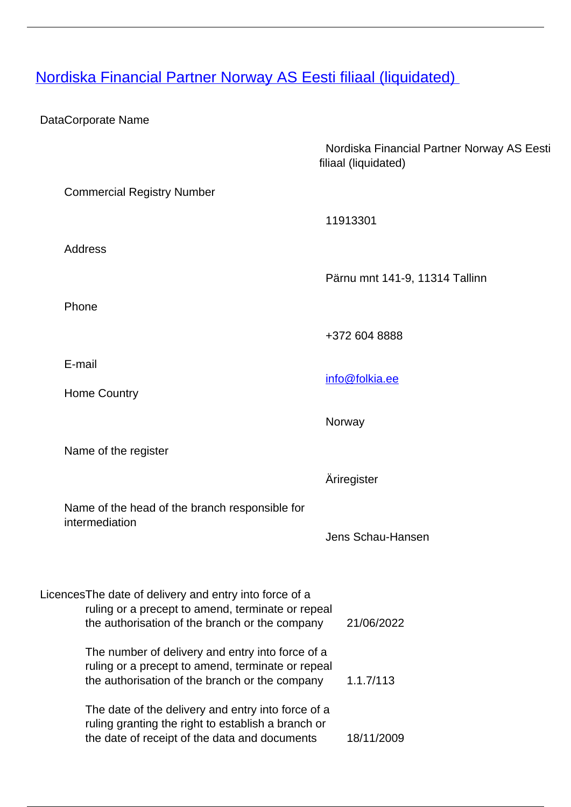## [Nordiska Financial Partner Norway AS Eesti filiaal \(liquidated\)](/en/banking-and-credit/credit-institutions/affiliated-branches-foreign-credit-institutions/nordiska-financial-partner-norway-eesti-filiaal-liquidated)

## DataCorporate Name

|                                                                                                                                                               | Nordiska Financial Partner Norway AS Eesti<br>filiaal (liquidated) |
|---------------------------------------------------------------------------------------------------------------------------------------------------------------|--------------------------------------------------------------------|
| <b>Commercial Registry Number</b>                                                                                                                             |                                                                    |
|                                                                                                                                                               | 11913301                                                           |
| <b>Address</b>                                                                                                                                                |                                                                    |
|                                                                                                                                                               | Pärnu mnt 141-9, 11314 Tallinn                                     |
| Phone                                                                                                                                                         |                                                                    |
|                                                                                                                                                               | +372 604 8888                                                      |
| E-mail                                                                                                                                                        | info@folkia.ee                                                     |
| <b>Home Country</b>                                                                                                                                           |                                                                    |
|                                                                                                                                                               | Norway                                                             |
| Name of the register                                                                                                                                          |                                                                    |
|                                                                                                                                                               | Äriregister                                                        |
| Name of the head of the branch responsible for<br>intermediation                                                                                              |                                                                    |
|                                                                                                                                                               | Jens Schau-Hansen                                                  |
|                                                                                                                                                               |                                                                    |
| LicencesThe date of delivery and entry into force of a<br>ruling or a precept to amend, terminate or repeal<br>the authorisation of the branch or the company | 21/06/2022                                                         |
|                                                                                                                                                               |                                                                    |

The number of delivery and entry into force of a ruling or a precept to amend, terminate or repeal the authorisation of the branch or the company 1.1.7/113 The date of the delivery and entry into force of a

ruling granting the right to establish a branch or the date of receipt of the data and documents 18/11/2009